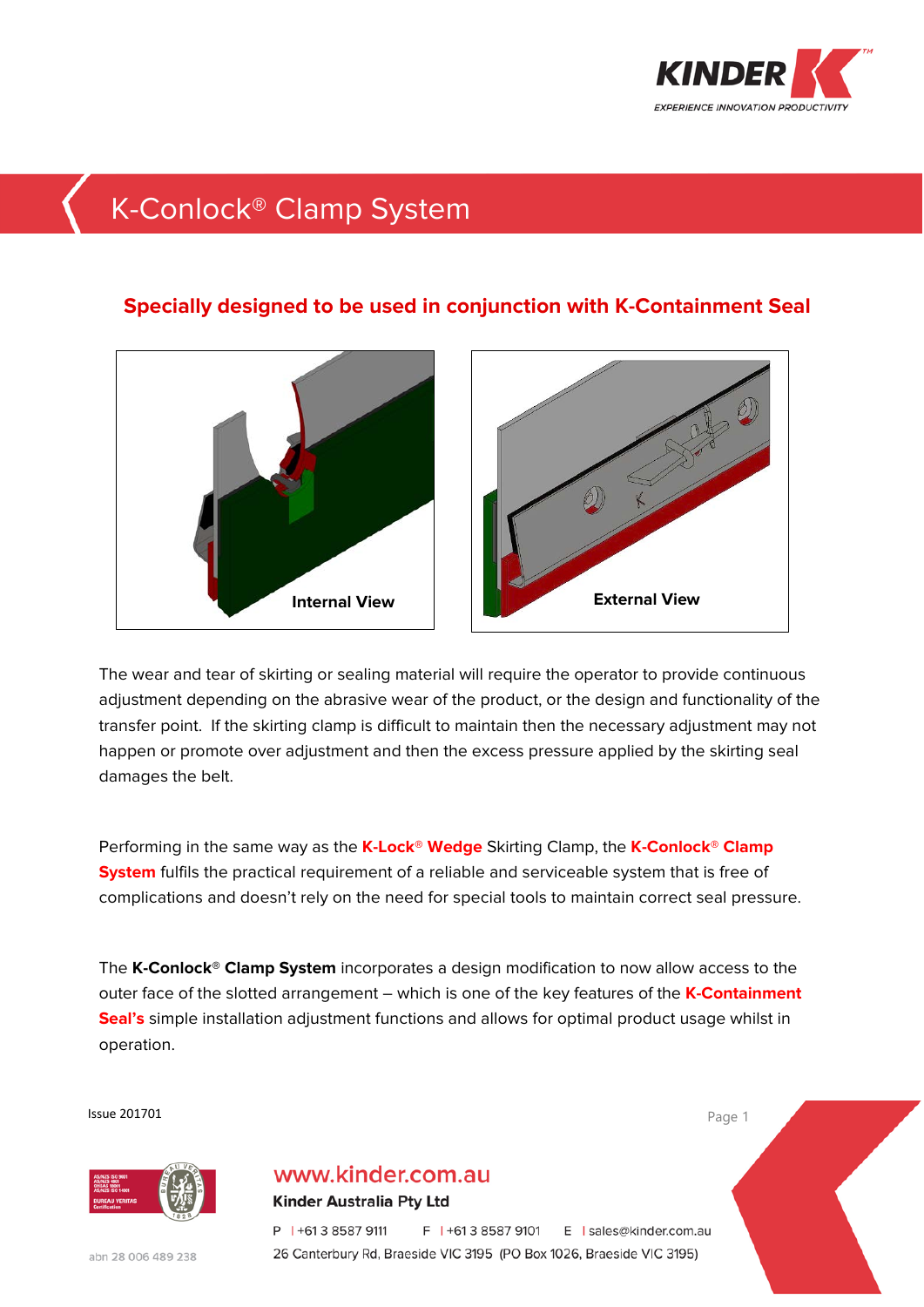

# K-Conlock® Clamp System

### **Specially designed to be used in conjunction with [K-Containment Seal](http://kinder.com.au/product/k-containment-seal/)**



The wear and tear of skirting or sealing material will require the operator to provide continuous adjustment depending on the abrasive wear of the product, or the design and functionality of the transfer point. If the skirting clamp is difficult to maintain then the necessary adjustment may not happen or promote over adjustment and then the excess pressure applied by the skirting seal damages the belt.

Performing in the same way as the **[K-Lock®](http://kinder.com.au/product/k-lock-wedge-skirt-clamp-system/) Wedge** Skirting Clamp, the **[K-Conlock](http://kinder.com.au/product/k-conlock-clamp-system/)® Clamp System** fulfils the practical requirement of a reliable and serviceable system that is free of complications and doesn't rely on the need for special tools to maintain correct seal pressure.

The **K-Conlock® Clamp System** incorporates a design modification to now allow access to the outer face of the slotted arrangement – which is one of the key features of the **[K-Containment](http://kinder.com.au/product/k-containment-seal/)  Seal's** simple installation adjustment functions and allows for optimal product usage whilst in operation.

**Issue 201701** Page 1



abn 28 006 489 238

## www.kinder.com.au

**Kinder Australia Pty Ltd** 



P | +61 3 8587 9111 F 1+613 8587 9101 E I sales@kinder.com.au 26 Canterbury Rd, Braeside VIC 3195 (PO Box 1026, Braeside VIC 3195)